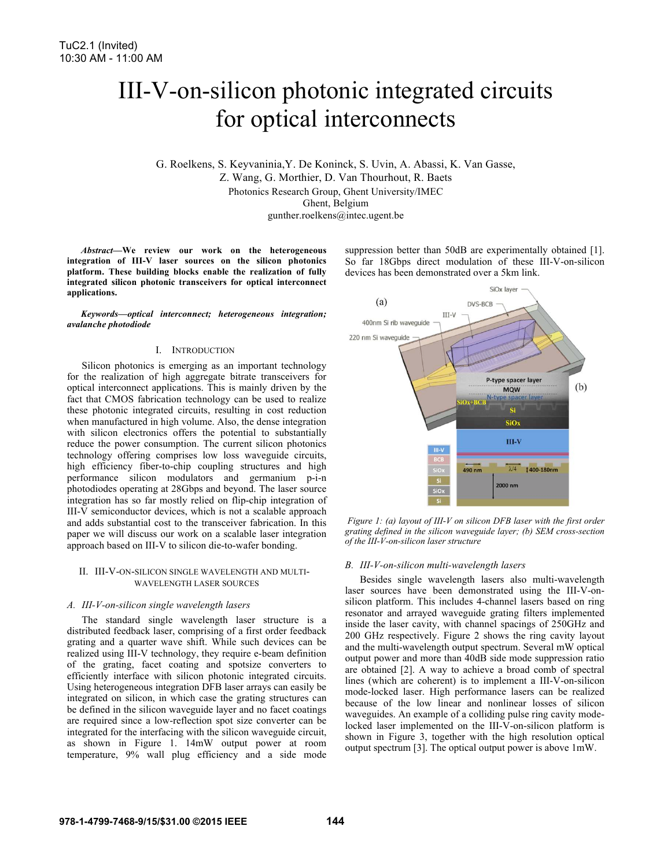# III-V-on-silicon photonic integrated circuits for optical interconnects

G. Roelkens, S. Keyvaninia,Y. De Koninck, S. Uvin, A. Abassi, K. Van Gasse, Z. Wang, G. Morthier, D. Van Thourhout, R. Baets Photonics Research Group, Ghent University/IMEC Ghent, Belgium gunther.roelkens@intec.ugent.be

*Abstract***—We review our work on the heterogeneous integration of III-V laser sources on the silicon photonics platform. These building blocks enable the realization of fully integrated silicon photonic transceivers for optical interconnect applications.** 

*Keywords—optical interconnect; heterogeneous integration; avalanche photodiode*

## I. INTRODUCTION

Silicon photonics is emerging as an important technology for the realization of high aggregate bitrate transceivers for optical interconnect applications. This is mainly driven by the fact that CMOS fabrication technology can be used to realize these photonic integrated circuits, resulting in cost reduction when manufactured in high volume. Also, the dense integration with silicon electronics offers the potential to substantially reduce the power consumption. The current silicon photonics technology offering comprises low loss waveguide circuits, high efficiency fiber-to-chip coupling structures and high performance silicon modulators and germanium p-i-n photodiodes operating at 28Gbps and beyond. The laser source integration has so far mostly relied on flip-chip integration of III-V semiconductor devices, which is not a scalable approach and adds substantial cost to the transceiver fabrication. In this paper we will discuss our work on a scalable laser integration approach based on III-V to silicon die-to-wafer bonding.

#### II. III-V-ON-SILICON SINGLE WAVELENGTH AND MULTI-WAVELENGTH LASER SOURCES

#### *A. III-V-on-silicon single wavelength lasers*

The standard single wavelength laser structure is a distributed feedback laser, comprising of a first order feedback grating and a quarter wave shift. While such devices can be realized using III-V technology, they require e-beam definition of the grating, facet coating and spotsize converters to efficiently interface with silicon photonic integrated circuits. Using heterogeneous integration DFB laser arrays can easily be integrated on silicon, in which case the grating structures can be defined in the silicon waveguide layer and no facet coatings are required since a low-reflection spot size converter can be integrated for the interfacing with the silicon waveguide circuit, as shown in Figure 1. 14mW output power at room temperature, 9% wall plug efficiency and a side mode

suppression better than 50dB are experimentally obtained [1]. So far 18Gbps direct modulation of these III-V-on-silicon devices has been demonstrated over a 5km link.



*Figure 1: (a) layout of III-V on silicon DFB laser with the first order grating defined in the silicon waveguide layer; (b) SEM cross-section of the III-V-on-silicon laser structure*

## *B. III-V-on-silicon multi-wavelength lasers*

Besides single wavelength lasers also multi-wavelength laser sources have been demonstrated using the III-V-onsilicon platform. This includes 4-channel lasers based on ring resonator and arrayed waveguide grating filters implemented inside the laser cavity, with channel spacings of 250GHz and 200 GHz respectively. Figure 2 shows the ring cavity layout and the multi-wavelength output spectrum. Several mW optical output power and more than 40dB side mode suppression ratio are obtained [2]. A way to achieve a broad comb of spectral lines (which are coherent) is to implement a III-V-on-silicon mode-locked laser. High performance lasers can be realized because of the low linear and nonlinear losses of silicon waveguides. An example of a colliding pulse ring cavity modelocked laser implemented on the III-V-on-silicon platform is shown in Figure 3, together with the high resolution optical output spectrum [3]. The optical output power is above 1mW.